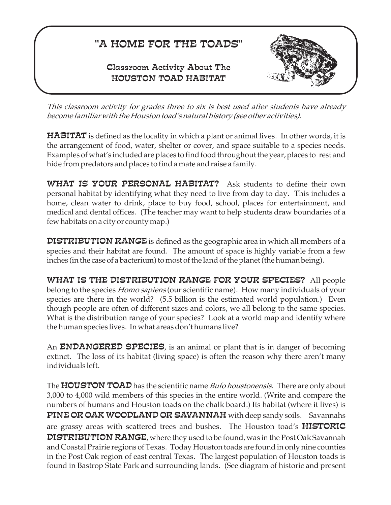## "A HOME FOR THE TOADS"

## Classroom Activity About The HOUSTON TOAD HABITAT



*This classroom activity for grades three to six is best used after students have already become familiar with the Houston toad's natural history (see other activities).*

 ${\tt HABITAT}$  is defined as the locality in which a plant or animal lives. In other words, it is the arrangement of food, water, shelter or cover, and space suitable to a species needs. Examples of what's included are places to find food throughout the year, places to rest and hide from predators and places to find a mate and raise a family.

WHAT IS YOUR PERSONAL HABITAT? Ask students to define their own personal habitat by identifying what they need to live from day to day. This includes a home, clean water to drink, place to buy food, school, places for entertainment, and medical and dental offices. (The teacher may want to help students draw boundaries of a few habitats on a city or county map.)

 $\mathop{\mathtt{DISTRIBUTION}}$   $\mathop{\mathtt{RANGE}}$  is defined as the geographic area in which all members of a species and their habitat are found. The amount of space is highly variable from a few inches (in the case of a bacterium) to most of the land of the planet (the human being).

WHAT IS THE DISTRIBUTION RANGE FOR YOUR SPECIES? All people belong to the species *Homo sapiens* (our scientific name). How many individuals of your species are there in the world? (5.5 billion is the estimated world population.) Even though people are often of different sizes and colors, we all belong to the same species. What is the distribution range of your species? Look at a world map and identify where the human species lives. In what areas don't humans live?

An **ENDANGERED SPECIES**, is an animal or plant that is in danger of becoming extinct. The loss of its habitat (living space) is often the reason why there aren't many individuals left.

The **HOUSTON TOAD** has the scientific name *Bufo houstonensis*. There are only about 3,000 to 4,000 wild members of this species in the entire world. (Write and compare the numbers of humans and Houston toads on the chalk board.) Its habitat (where it lives) is PINE OR OAK WOODLAND OR SAVANNAH with deep sandy soils. Savannahs are grassy areas with scattered trees and bushes. The Houston toad's **HISTORIC**  $\mathsf{DISTRIBUTION}\ \mathsf{RANGE}$ , where they used to be found, was in the Post Oak Savannah and Coastal Prairie regions of Texas. Today Houston toads are found in only nine counties in the Post Oak region of east central Texas. The largest population of Houston toads is found in Bastrop State Park and surrounding lands. (See diagram of historic and present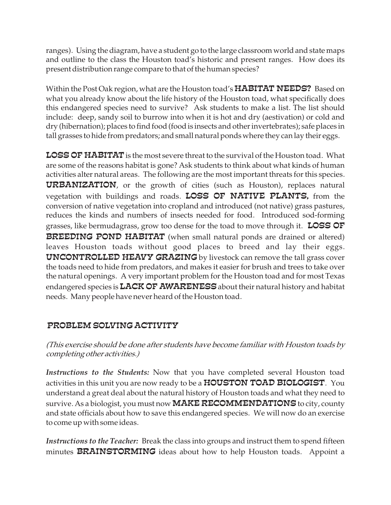ranges). Using the diagram, have a student go to the large classroom world and state maps and outline to the class the Houston toad's historic and present ranges. How does its present distribution range compare to that of the human species?

Within the Post Oak region, what are the Houston toad's  ${\tt HABITAT}$   ${\tt NEEDS?}\:$  Based on what you already know about the life history of the Houston toad, what specifically does this endangered species need to survive? Ask students to make a list. The list should include: deep, sandy soil to burrow into when it is hot and dry (aestivation) or cold and dry (hibernation); places to find food (food is insects and other invertebrates); safe places in tall grasses to hide from predators; and small natural ponds where they can lay their eggs.

 ${\tt LOSS}\, {\tt OF}\, {\tt HABITAT}$  is the most severe threat to the survival of the Houston toad. What are some of the reasons habitat is gone? Ask students to think about what kinds of human activities alter natural areas. The following are the most important threats for this species. **URBANIZATION**, or the growth of cities (such as Houston), replaces natural vegetation with buildings and roads. LOSS OF NATIVE PLANTS, from the conversion of native vegetation into cropland and introduced (not native) grass pastures, reduces the kinds and numbers of insects needed for food. Introduced sod-forming grasses, like bermudagrass, grow too dense for the toad to move through it.  $\overline{{\tt LOSS}}$  OF **BREEDING POND HABITAT** (when small natural ponds are drained or altered) leaves Houston toads without good places to breed and lay their eggs.  ${\bf UNCONTROLLED}$   ${\bf HEAYY}$   ${\bf GRAZING}$  by livestock can remove the tall grass cover the toads need to hide from predators, and makes it easier for brush and trees to take over the natural openings. A very important problem for the Houston toad and for most Texas endangered species is  $\mathtt{LACK}\,\mathtt{OF}\,\mathtt{AWARENESS}$  about their natural history and habitat needs. Many people have never heard of the Houston toad.

## PROBLEM SOLVING ACTIVITY

*(This exercise should be done after students have become familiar with Houston toads by completing other activities.)*

Instructions to the Students: Now that you have completed several Houston toad activities in this unit you are now ready to be a  ${\tt HOUSTON\ TOAD\ BIOLOGIST}$  . You understand a great deal about the natural history of Houston toads and what they need to survive. As a biologist, you must now  $\mathbf{MAKE}\,\mathbf{RECOMMENDATIONS}$  to city, county and state officials about how to save this endangered species. We will now do an exercise to come up with some ideas.

*Instructions to the Teacher:* Break the class into groups and instruct them to spend fifteen minutes BRAINSTORMING ideas about how to help Houston toads. Appoint a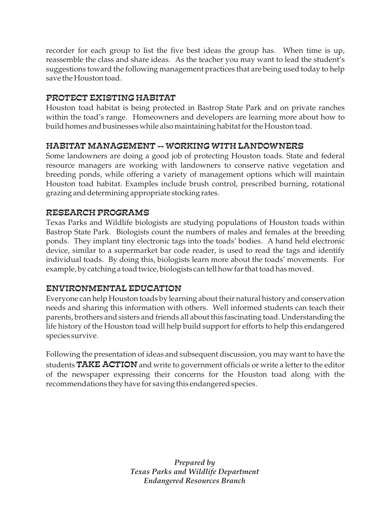recorder for each group to list the five best ideas the group has. When time is up, reassemble the class and share ideas. As the teacher you may want to lead the student's suggestions toward the following management practices that are being used today to help save the Houston toad.

## PROTECT EXISTING HABITAT

Houston toad habitat is being protected in Bastrop State Park and on private ranches within the toad's range. Homeowners and developers are learning more about how to build homes and businesses while also maintaining habitat for the Houston toad.

## HABITAT MANAGEMENT -- WORKING WITH LANDOWNERS

Some landowners are doing a good job of protecting Houston toads. State and federal resource managers are working with landowners to conserve native vegetation and breeding ponds, while offering a variety of management options which will maintain Houston toad habitat. Examples include brush control, prescribed burning, rotational grazing and determining appropriate stocking rates.

### RESEARCH PROGRAMS

Texas Parks and Wildlife biologists are studying populations of Houston toads within Bastrop State Park. Biologists count the numbers of males and females at the breeding ponds. They implant tiny electronic tags into the toads' bodies. A hand held electronic device, similar to a supermarket bar code reader, is used to read the tags and identify individual toads. By doing this, biologists learn more about the toads' movements. For example, by catching a toad twice, biologists can tell how far that toad has moved.

## ENVIRONMENTAL EDUCATION

Everyone can help Houston toads by learning about their natural history and conservation needs and sharing this information with others. Well informed students can teach their parents, brothers and sisters and friends all about this fascinating toad. Understanding the life history of the Houston toad will help build support for efforts to help this endangered species survive.

Following the presentation of ideas and subsequent discussion, you may want to have the students  $\mathtt{TAKE}$   $\mathtt{ACTION}$  and write to government officials or write a letter to the editor of the newspaper expressing their concerns for the Houston toad along with the recommendations they have for saving this endangered species.

> *Prepared by Texas Parks and Wildlife Department Endangered Resources Branch*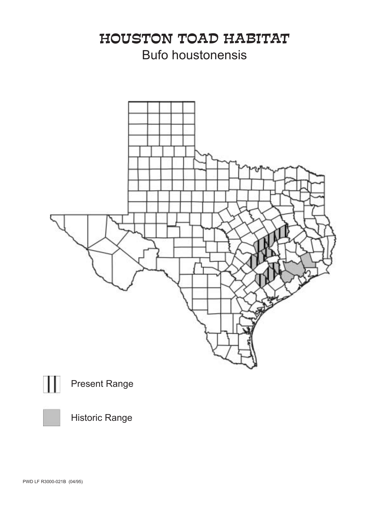# HOUSTON TOAD HABITAT Bufo houstonensis









Historic Range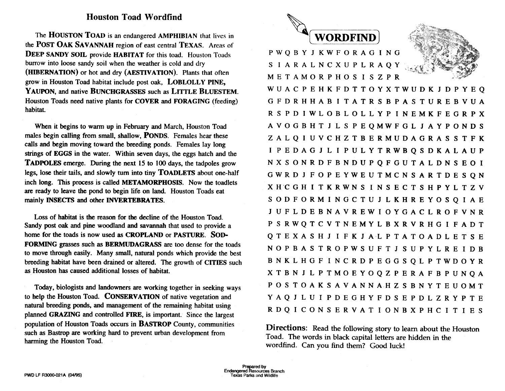### **Houston Toad Wordfind**

The HOUSTON TOAD is an endangered AMPHIBIAN that lives in the POST OAK SAVANNAH region of east central TEXAS. Areas of **DEEP SANDY SOIL provide HABITAT for this toad. Houston Toads** burrow into loose sandy soil when the weather is cold and dry (HIBERNATION) or hot and dry (AESTIVATION). Plants that often grow in Houston Toad habitat include post oak, LOBLOLLY PINE, YAUPON, and native BUNCHGRASSES such as LITTLE BLUESTEM. Houston Toads need native plants for COVER and FORAGING (feeding) habitat.

When it begins to warm up in February and March. Houston Toad males begin calling from small, shallow, **PONDS**. Females hear these calls and begin moving toward the breeding ponds. Females lay long strings of EGGS in the water. Within seven days, the eggs hatch and the **TADPOLES** emerge. During the next 15 to 100 days, the tadpoles grow legs, lose their tails, and slowly turn into tiny TOADLETS about one-half inch long. This process is called METAMORPHOSIS. Now the toadlets are ready to leave the pond to begin life on land. Houston Toads eat mainly INSECTS and other INVERTEBRATES.

Loss of habitat is the reason for the decline of the Houston Toad. Sandy post oak and pine woodland and savannah that used to provide a home for the toads is now used as CROPLAND or PASTURE. SOD-FORMING grasses such as BERMUDAGRASS are too dense for the toads to move through easily. Many small, natural ponds which provide the best breeding habitat have been drained or altered. The growth of CITIES such as Houston has caused additional losses of habitat.

Today, biologists and landowners are working together in seeking ways to help the Houston Toad. CONSERVATION of native vegetation and natural breeding ponds, and management of the remaining habitat using planned GRAZING and controlled FIRE, is important. Since the largest population of Houston Toads occurs in **BASTROP** County, communities such as Bastrop are working hard to prevent urban development from harming the Houston Toad.



**PWOBYJKWFORAGING SIARALNCXUPLRAQY METAMORPHOSISZPR** 

WUACPEHKFDTTOYXTWUDKJDPYEQ G F D R H H A B I T A T R S B P A S T U R E B V U A R S P D I W L O B L O L L Y P I N E M K F E G R P X AVOGBHTJLSPEOMWFGLJAYPONDS ZALQIUVCHZTBERMUDAGRASSTFK I P E D A G J L I P U L Y T R W B O S D K A L A U P NXSONRDFBNDUPQFGUTALDNSEOI GWRDJFOPEYWEUTMCNSARTDESQN XHCGHITKRWNSINSECTSHPYLTZV SODFORMINGCTUJLKHREYOSQIAE J U F L D E B N A V R E W I O Y G A C L R O F V N R P S R W Q T C V T N E M Y L B X R V R H G I F A D T OTEXASHJIFKJALPTATOADLETSE NOPBASTROPWSUFTJSUPYLREIDB B N K L H G F I N C R D P E G G S Q L P T W D O Y R X T B N J L P T M O E Y O Q Z P E R A F B P U N O A POSTOAKSAVANNAHZSBNYTEUOMT YAQJLUIPDEGHYFDSEPDLZRYPTE RDQICONSERVATIONBXPHCITIES

**Directions:** Read the following story to learn about the Houston Toad. The words in black capital letters are hidden in the wordfind. Can you find them? Good luck!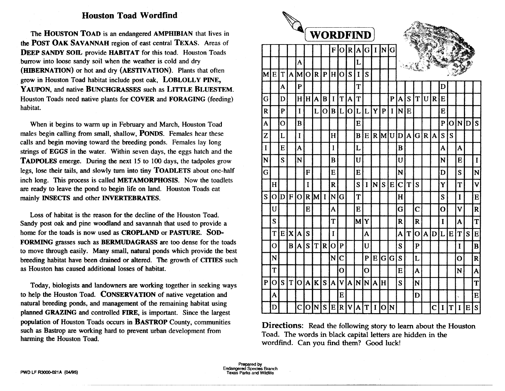### **Houston Toad Wordfind**

The HOUSTON TOAD is an endangered AMPHIBIAN that lives in the POST OAK SAVANNAH region of east central TEXAS. Areas of **DEEP SANDY SOIL provide HABITAT for this toad. Houston Toads** burrow into loose sandy soil when the weather is cold and dry (HIBERNATION) or hot and dry (AESTIVATION). Plants that often grow in Houston Toad habitat include post oak, LOBLOLLY PINE, YAUPON, and native BUNCHGRASSES such as LITTLE BLUESTEM. Houston Toads need native plants for COVER and FORAGING (feeding) habitat.

When it begins to warm up in February and March, Houston Toad males begin calling from small, shallow, **PONDS**. Females hear these calls and begin moving toward the breeding ponds. Females lay long strings of EGGS in the water. Within seven days, the eggs hatch and the **TADPOLES** emerge. During the next 15 to 100 days, the tadpoles grow legs, lose their tails, and slowly turn into tiny TOADLETS about one-half inch long. This process is called METAMORPHOSIS. Now the toadlets are ready to leave the pond to begin life on land. Houston Toads eat mainly INSECTS and other INVERTEBRATES.

Loss of habitat is the reason for the decline of the Houston Toad. Sandy post oak and pine woodland and savannah that used to provide a home for the toads is now used as CROPLAND or PASTURE. SOD-FORMING grasses such as BERMUDAGRASS are too dense for the toads to move through easily. Many small, natural ponds which provide the best breeding habitat have been drained or altered. The growth of CITIES such as Houston has caused additional losses of habitat.

Today, biologists and landowners are working together in seeking ways to help the Houston Toad. CONSERVATION of native vegetation and natural breeding ponds, and management of the remaining habitat using planned GRAZING and controlled FIRE, is important. Since the largest population of Houston Toads occurs in BASTROP County, communities such as Bastrop are working hard to prevent urban development from harming the Houston Toad.

|              |                |                | <b>Contract Contract Contract Contract Contract Contract Contract Contract Contract Contract Contract Contract Contract Contract Contract Contract Contract Contract Contract Contract Contract Contract Contract Contract Contr</b> |                         |                         |              |                |                         |                         |                         |   |                |              |                |              |                         |                         |                |              |                         |                |                |            |          |                         |
|--------------|----------------|----------------|--------------------------------------------------------------------------------------------------------------------------------------------------------------------------------------------------------------------------------------|-------------------------|-------------------------|--------------|----------------|-------------------------|-------------------------|-------------------------|---|----------------|--------------|----------------|--------------|-------------------------|-------------------------|----------------|--------------|-------------------------|----------------|----------------|------------|----------|-------------------------|
|              |                |                |                                                                                                                                                                                                                                      |                         |                         |              |                |                         | <b>WORDFIND</b>         |                         |   |                |              |                |              |                         |                         |                |              |                         |                |                |            |          |                         |
|              |                |                |                                                                                                                                                                                                                                      |                         |                         |              |                | F                       | $\mathbf O$             | $\mathbf R$             | A | G              | $\mathbf{I}$ | N              | G            |                         |                         |                |              |                         |                |                |            |          |                         |
|              |                |                |                                                                                                                                                                                                                                      | A                       |                         |              |                |                         |                         |                         | L |                |              |                |              |                         |                         |                |              |                         |                |                |            |          |                         |
| M            | E              | T              | A                                                                                                                                                                                                                                    | M                       | $\overline{O}$          | $\mathbf{R}$ | P              | H                       | $\overline{O}$          | S                       | I | S              |              |                |              |                         |                         |                |              |                         |                |                |            |          |                         |
|              |                | A              |                                                                                                                                                                                                                                      | $\overline{\mathbf{P}}$ |                         |              |                |                         |                         |                         | T |                |              |                |              |                         |                         |                |              |                         | D              |                |            |          |                         |
| G            |                | D              |                                                                                                                                                                                                                                      | H                       | H                       | A            | B              | I                       | T                       | $\overline{\mathbf{A}}$ | T |                |              |                | $\mathbf{P}$ | A                       | S                       | T              | U            | $\mathbf R$             | E              |                |            |          |                         |
| R            |                | $\mathbf{P}$   |                                                                                                                                                                                                                                      | $\bf{I}$                |                         | L            | $\overline{O}$ | $\bf{B}$                | L                       | $\overline{O}$          | L | L              | Y            | $\mathbf{P}$   | I            | N                       | E                       |                |              |                         | E              |                |            |          |                         |
| A            |                | $\overline{O}$ |                                                                                                                                                                                                                                      | B                       |                         |              |                |                         |                         |                         | E |                |              |                |              |                         |                         |                |              |                         | $\overline{P}$ | $\overline{O}$ | <u>IND</u> |          | $\mathbf S$             |
| Z            |                | L              |                                                                                                                                                                                                                                      | $\mathbf I$             |                         |              |                | H                       |                         |                         | B | E              |              | $R$ M          |              | U D                     | $\overline{\mathbf{A}}$ | G              | $\mathbf R$  | A                       | S              | S              |            |          |                         |
| I            |                | E              |                                                                                                                                                                                                                                      | A                       |                         |              |                | I                       |                         |                         | L |                |              |                |              | B                       |                         |                |              |                         | A              |                | A          |          |                         |
| N            |                | S              |                                                                                                                                                                                                                                      | N                       |                         |              |                | B                       |                         |                         | U |                |              |                |              | U                       |                         |                |              |                         | N              |                | E          |          | $\mathbf I$             |
| Ġ            |                |                |                                                                                                                                                                                                                                      |                         | F                       |              |                | E                       |                         |                         | E |                |              |                |              | N                       |                         |                |              |                         | D              |                | S          |          | N                       |
|              | H              |                |                                                                                                                                                                                                                                      |                         | I                       |              |                | $\overline{\mathbf{R}}$ |                         |                         | S | I              | N            | S              | E            | $\overline{\mathbf{C}}$ | T                       | S              |              |                         | Y              |                | T          |          | $\overline{\mathbf{V}}$ |
| S            | O              | D              | F                                                                                                                                                                                                                                    | $\overline{O}$          | $\overline{\mathbf{R}}$ | M            | $\mathbf I$    | N                       | G                       |                         | T |                |              |                |              | H                       |                         |                |              |                         | S              |                | I          |          | $\bf{E}$                |
|              | U              |                |                                                                                                                                                                                                                                      |                         | E                       |              |                | A                       |                         |                         | E |                |              |                |              | Ġ                       |                         | $\overline{C}$ |              |                         | $\mathbf O$    |                | V          |          | $\overline{\mathbf{R}}$ |
|              | S              |                |                                                                                                                                                                                                                                      |                         |                         |              |                | T                       |                         |                         | M | Y              |              |                |              | R                       |                         | $\mathbf R$    |              |                         | I              |                | A          |          | T                       |
|              | T              | E              | $\overline{\textbf{X}}$                                                                                                                                                                                                              | A                       | S                       |              |                | I                       |                         |                         |   | A              |              |                |              | A                       | T                       | $\overline{O}$ | $\mathbf{A}$ | D                       | L              | E              | T          | S        | ${\bf E}$               |
|              | $\overline{O}$ |                | $\bf{B}$                                                                                                                                                                                                                             | A                       | S                       | T            | $\mathbf{R}$   | $\overline{O}$          | $\mathbf{P}$            |                         |   | U              |              |                |              | S                       |                         | $\mathbf{P}$   |              |                         |                |                | I          |          | $\bf{B}$                |
|              | N              |                |                                                                                                                                                                                                                                      |                         |                         |              |                | N                       | $\overline{\mathbf{C}}$ |                         |   | ${\bf P}$      | E            | $\mathbf G$    | G            | S                       |                         | L              |              |                         |                |                | Ô          |          | $\overline{\mathbf{R}}$ |
|              | T              |                |                                                                                                                                                                                                                                      |                         |                         |              |                |                         | Ô                       |                         |   | $\overline{O}$ |              |                |              | E                       |                         | A              |              |                         |                |                | N          |          | $\overline{\mathbf{A}}$ |
| $\mathbf{P}$ | $\mathbf O$    | S              | T                                                                                                                                                                                                                                    | $\overline{O}$          | A                       | $\bf K$      | S              | A                       | V                       | A                       | N | N              | A            | H              |              | S                       |                         | N              |              |                         |                |                |            |          | T                       |
|              | A              |                |                                                                                                                                                                                                                                      |                         |                         |              |                |                         | E                       |                         |   |                |              |                |              |                         |                         | D              |              |                         |                |                |            |          | E                       |
|              | D              |                |                                                                                                                                                                                                                                      | $\overline{\mathbf{C}}$ | O                       | N            | S              | $\bf{E}$                | $\mathbf R$             | V                       | A | T              | $\mathbf I$  | $\overline{O}$ | N            |                         |                         |                |              | $\overline{\mathbf{C}}$ | I              | T              | I          | $\bf{E}$ | $\overline{\mathbf{S}}$ |

**Directions:** Read the following story to learn about the Houston Toad. The words in black capital letters are hidden in the wordfind. Can you find them? Good luck!